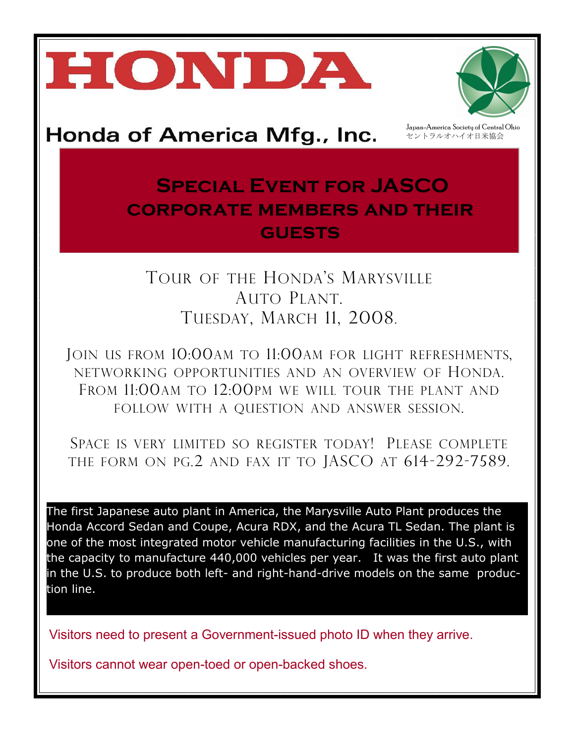# HONDA



Japan-America Society of Central Ohio セントラルオハイオ日米協会

## **Special Event for JASCO corporate members and their guests**

### TOUR OF THE HONDA'S MARYSVILLE AUTO PLANT. TUESDAY, MARCH 11, 2008.

JOIN US FROM 10:00AM TO 11:00AM FOR LIGHT REFRESHMENTS, NETWORKING OPPORTUNITIES AND AN OVERVIEW OF HONDA. FROM 11:00AM TO 12:00PM WE WILL TOUR THE PLANT AND FOLLOW WITH A QUESTION AND ANSWER SESSION.

SPACE IS VERY LIMITED SO REGISTER TODAY! PLEASE COMPLETE THE FORM ON PG.2 AND FAX IT TO JASCO AT 614-292-7589.

The first Japanese auto plant in America, the Marysville Auto Plant produces the Honda Accord Sedan and Coupe, Acura RDX, and the Acura TL Sedan. The plant is one of the most integrated motor vehicle manufacturing facilities in the U.S., with the capacity to manufacture 440,000 vehicles per year. It was the first auto plant in the U.S. to produce both left- and right-hand-drive models on the same production line.

Visitors need to present a Government-issued photo ID when they arrive.

Visitors cannot wear open-toed or open-backed shoes.